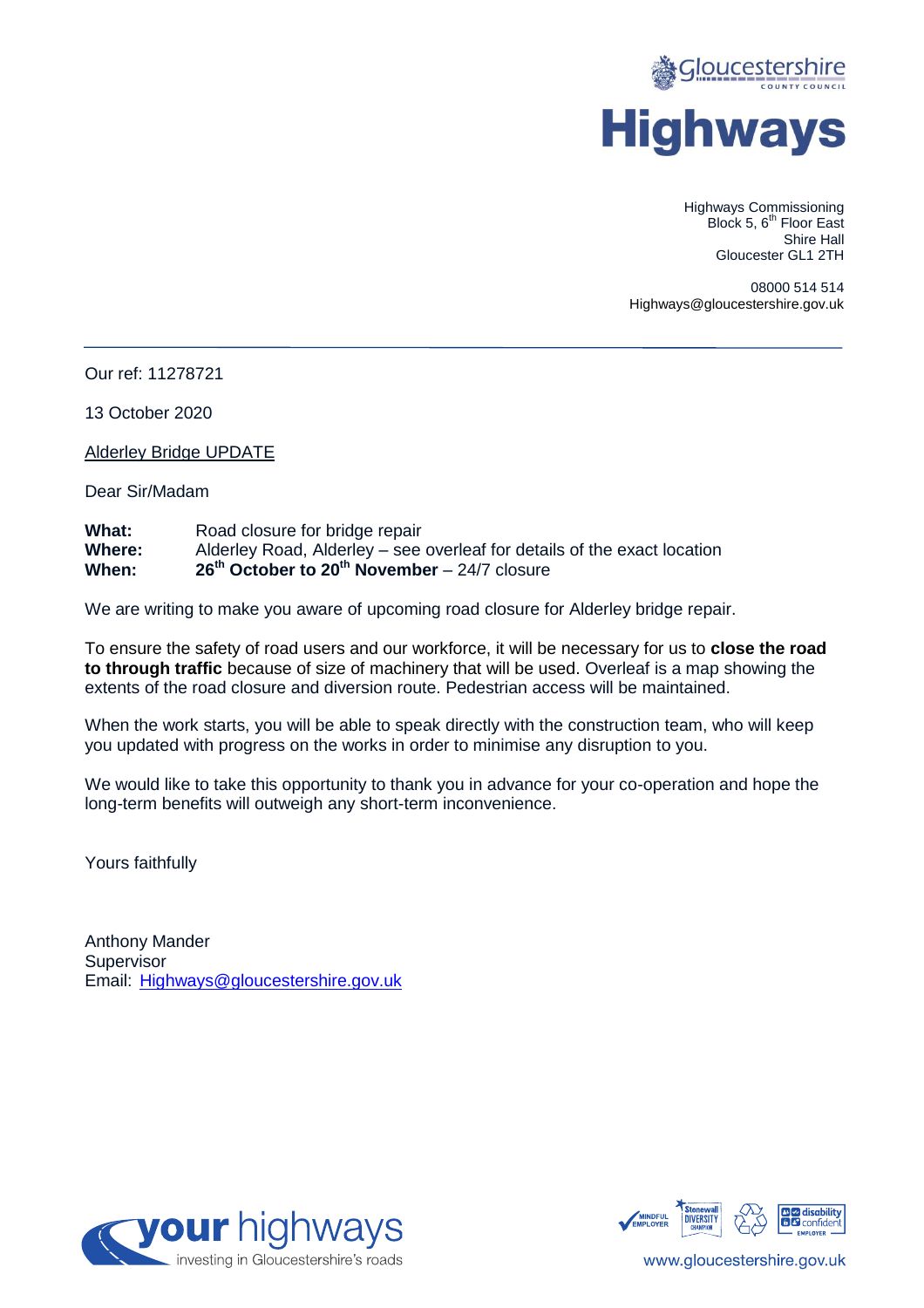

Highways Commissioning Block 5, 6<sup>th</sup> Floor East Shire Hall Gloucester GL1 2TH

08000 514 514 Highways@gloucestershire.gov.uk

Our ref: 11278721

13 October 2020

Alderley Bridge UPDATE

Dear Sir/Madam

| What:         | Road closure for bridge repair                                           |
|---------------|--------------------------------------------------------------------------|
| <b>Where:</b> | Alderley Road, Alderley – see overleaf for details of the exact location |
| When:         | $26th$ October to $20th$ November – 24/7 closure                         |

We are writing to make you aware of upcoming road closure for Alderley bridge repair.

To ensure the safety of road users and our workforce, it will be necessary for us to **close the road to through traffic** because of size of machinery that will be used. Overleaf is a map showing the extents of the road closure and diversion route. Pedestrian access will be maintained.

When the work starts, you will be able to speak directly with the construction team, who will keep you updated with progress on the works in order to minimise any disruption to you.

We would like to take this opportunity to thank you in advance for your co-operation and hope the long-term benefits will outweigh any short-term inconvenience.

Yours faithfully

Anthony Mander **Supervisor** Email: [Highways@gloucestershire.gov.uk](mailto:Highways@gloucestershire.gov.uk)





www.gloucestershire.gov.uk